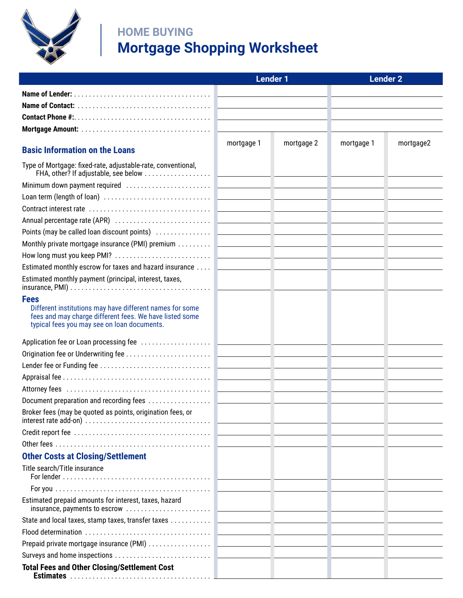

## **HOME BUYING Mortgage Shopping Worksheet**

|                                                                                                                                                                                   | <b>Lender 1</b> |            | <b>Lender 2</b> |           |
|-----------------------------------------------------------------------------------------------------------------------------------------------------------------------------------|-----------------|------------|-----------------|-----------|
|                                                                                                                                                                                   |                 |            |                 |           |
|                                                                                                                                                                                   |                 |            |                 |           |
|                                                                                                                                                                                   |                 |            |                 |           |
|                                                                                                                                                                                   |                 |            |                 |           |
|                                                                                                                                                                                   | mortgage 1      | mortgage 2 | mortgage 1      | mortgage2 |
| <b>Basic Information on the Loans</b>                                                                                                                                             |                 |            |                 |           |
| Type of Mortgage: fixed-rate, adjustable-rate, conventional,                                                                                                                      |                 |            |                 |           |
|                                                                                                                                                                                   |                 |            |                 |           |
|                                                                                                                                                                                   |                 |            |                 |           |
|                                                                                                                                                                                   |                 |            |                 |           |
| Annual percentage rate (APR) (and according to the control of the control of the control of the control of the                                                                    |                 |            |                 |           |
| Points (may be called loan discount points) (1999) (1999) (1999) (1999) (1999) (1999) (1999) (1999) (1999) (19                                                                    |                 |            |                 |           |
|                                                                                                                                                                                   |                 |            |                 |           |
|                                                                                                                                                                                   |                 |            |                 |           |
| Estimated monthly escrow for taxes and hazard insurance  [ __________________                                                                                                     |                 |            |                 |           |
| Estimated monthly payment (principal, interest, taxes,                                                                                                                            |                 |            |                 |           |
| <b>Fees</b><br>Different institutions may have different names for some<br>fees and may charge different fees. We have listed some<br>typical fees you may see on loan documents. |                 |            |                 |           |
|                                                                                                                                                                                   |                 |            |                 |           |
|                                                                                                                                                                                   |                 |            |                 |           |
|                                                                                                                                                                                   |                 |            |                 |           |
|                                                                                                                                                                                   |                 |            |                 |           |
|                                                                                                                                                                                   |                 |            |                 |           |
|                                                                                                                                                                                   |                 |            |                 |           |
| Broker fees (may be quoted as points, origination fees, or                                                                                                                        |                 |            |                 |           |
|                                                                                                                                                                                   |                 |            |                 |           |
|                                                                                                                                                                                   |                 |            |                 |           |
| <b>Other Costs at Closing/Settlement</b>                                                                                                                                          |                 |            |                 |           |
| Title search/Title insurance                                                                                                                                                      |                 |            |                 |           |
|                                                                                                                                                                                   |                 |            |                 |           |
| Estimated prepaid amounts for interest, taxes, hazard                                                                                                                             |                 |            |                 |           |
|                                                                                                                                                                                   |                 |            |                 |           |
|                                                                                                                                                                                   |                 |            |                 |           |
|                                                                                                                                                                                   |                 |            |                 |           |
|                                                                                                                                                                                   |                 |            |                 |           |
| <b>Total Fees and Other Closing/Settlement Cost</b>                                                                                                                               |                 |            |                 |           |